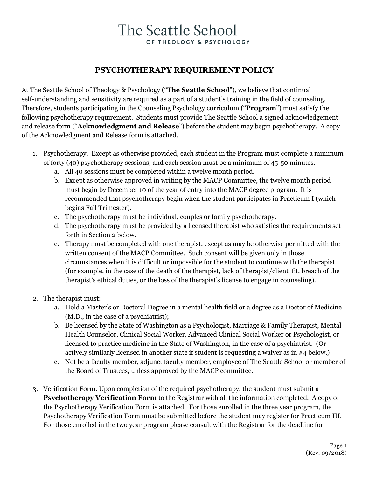### **PSYCHOTHERAPY REQUIREMENT POLICY**

At The Seattle School of Theology & Psychology ("**The Seattle School**"), we believe that continual self-understanding and sensitivity are required as a part of a student's training in the field of counseling. Therefore, students participating in the Counseling Psychology curriculum ("**Program**") must satisfy the following psychotherapy requirement. Students must provide The Seattle School a signed acknowledgement and release form ("**Acknowledgment and Release**") before the student may begin psychotherapy. A copy of the Acknowledgment and Release form is attached.

- 1. Psychotherapy. Except as otherwise provided, each student in the Program must complete a minimum of forty (40) psychotherapy sessions, and each session must be a minimum of 45-50 minutes.
	- a. All 40 sessions must be completed within a twelve month period.
	- b. Except as otherwise approved in writing by the MACP Committee, the twelve month period must begin by December 10 of the year of entry into the MACP degree program. It is recommended that psychotherapy begin when the student participates in Practicum I (which begins Fall Trimester).
	- c. The psychotherapy must be individual, couples or family psychotherapy.
	- d. The psychotherapy must be provided by a licensed therapist who satisfies the requirements set forth in Section 2 below.
	- e. Therapy must be completed with one therapist, except as may be otherwise permitted with the written consent of the MACP Committee. Such consent will be given only in those circumstances when it is difficult or impossible for the student to continue with the therapist (for example, in the case of the death of the therapist, lack of therapist/client fit, breach of the therapist's ethical duties, or the loss of the therapist's license to engage in counseling).
- 2. The therapist must:
	- a. Hold a Master's or Doctoral Degree in a mental health field or a degree as a Doctor of Medicine (M.D., in the case of a psychiatrist);
	- b. Be licensed by the State of Washington as a Psychologist, Marriage & Family Therapist, Mental Health Counselor, Clinical Social Worker, Advanced Clinical Social Worker or Psychologist, or licensed to practice medicine in the State of Washington, in the case of a psychiatrist. (Or actively similarly licensed in another state if student is requesting a waiver as in #4 below.)
	- c. Not be a faculty member, adjunct faculty member, employee of The Seattle School or member of the Board of Trustees, unless approved by the MACP committee.
- 3. Verification Form. Upon completion of the required psychotherapy, the student must submit a **Psychotherapy Verification Form** to the Registrar with all the information completed. A copy of the Psychotherapy Verification Form is attached. For those enrolled in the three year program, the Psychotherapy Verification Form must be submitted before the student may register for Practicum III. For those enrolled in the two year program please consult with the Registrar for the deadline for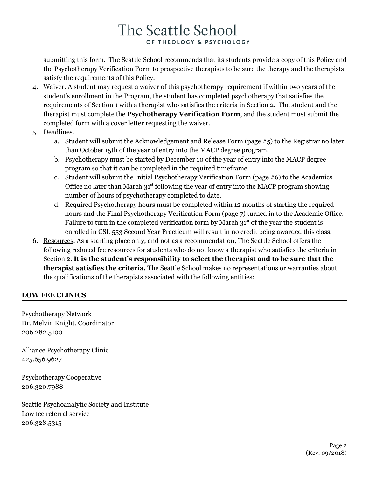submitting this form. The Seattle School recommends that its students provide a copy of this Policy and the Psychotherapy Verification Form to prospective therapists to be sure the therapy and the therapists satisfy the requirements of this Policy.

- 4. Waiver. A student may request a waiver of this psychotherapy requirement if within two years of the student's enrollment in the Program, the student has completed psychotherapy that satisfies the requirements of Section 1 with a therapist who satisfies the criteria in Section 2. The student and the therapist must complete the **Psychotherapy Verification Form**, and the student must submit the completed form with a cover letter requesting the waiver.
- 5. Deadlines.
	- a. Student will submit the Acknowledgement and Release Form (page  $\#$ 5) to the Registrar no later than October 15th of the year of entry into the MACP degree program.
	- b. Psychotherapy must be started by December 10 of the year of entry into the MACP degree program so that it can be completed in the required timeframe.
	- c. Student will submit the Initial Psychotherapy Verification Form (page #6) to the Academics Office no later than March 31<sup>st</sup> following the year of entry into the MACP program showing number of hours of psychotherapy completed to date.
	- d. Required Psychotherapy hours must be completed within 12 months of starting the required hours and the Final Psychotherapy Verification Form (page 7) turned in to the Academic Office. Failure to turn in the completed verification form by March  $31<sup>st</sup>$  of the year the student is enrolled in CSL 553 Second Year Practicum will result in no credit being awarded this class.
- 6. Resources. As a starting place only, and not as a recommendation, The Seattle School offers the following reduced fee resources for students who do not know a therapist who satisfies the criteria in Section 2. **It is the student's responsibility to select the therapist and to be sure that the therapist satisfies the criteria.** The Seattle School makes no representations or warranties about the qualifications of the therapists associated with the following entities:

### **LOW FEE CLINICS**

Psychotherapy Network Dr. Melvin Knight, Coordinator 206.282.5100

Alliance Psychotherapy Clinic 425.656.9627

Psychotherapy Cooperative 206.320.7988

Seattle Psychoanalytic Society and Institute Low fee referral service 206.328.5315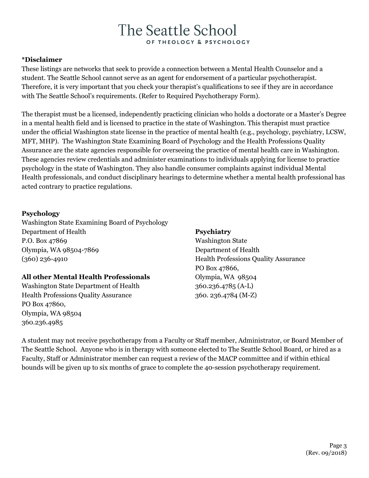### **\*Disclaimer**

These listings are networks that seek to provide a connection between a Mental Health Counselor and a student. The Seattle School cannot serve as an agent for endorsement of a particular psychotherapist. Therefore, it is very important that you check your therapist's qualifications to see if they are in accordance with The Seattle School's requirements. (Refer to Required Psychotherapy Form).

The therapist must be a licensed, independently practicing clinician who holds a doctorate or a Master's Degree in a mental health field and is licensed to practice in the state of Washington. This therapist must practice under the official Washington state license in the practice of mental health (e.g., psychology, psychiatry, LCSW, MFT, MHP). The Washington State Examining Board of Psychology and the Health Professions Quality Assurance are the state agencies responsible for overseeing the practice of mental health care in Washington. These agencies review credentials and administer examinations to individuals applying for license to practice psychology in the state of Washington. They also handle consumer complaints against individual Mental Health professionals, and conduct disciplinary hearings to determine whether a mental health professional has acted contrary to practice regulations.

### **Psychology**

[Washington](http://wws2.wa.gov/doh/hpqa-licensing/HPS7/Psychology/default.htm) State Examining Board of Psychology Department of Health P.O. Box 47869 Olympia, WA 98504-7869 (360) 236-4910

### **All other Mental Health Professionals**

Washington State Department of Health Health Professions Quality Assurance PO Box 47860, Olympia, WA 98504 360.236.4985

### **Psychiatry**

Washington State Department of Health Health Professions Quality Assurance PO Box 47866, Olympia, WA 98504 360.236.4785 (A-L) 360. 236.4784 (M-Z)

A student may not receive psychotherapy from a Faculty or Staff member, Administrator, or Board Member of The Seattle School. Anyone who is in therapy with someone elected to The Seattle School Board, or hired as a Faculty, Staff or Administrator member can request a review of the MACP committee and if within ethical bounds will be given up to six months of grace to complete the 40-session psychotherapy requirement.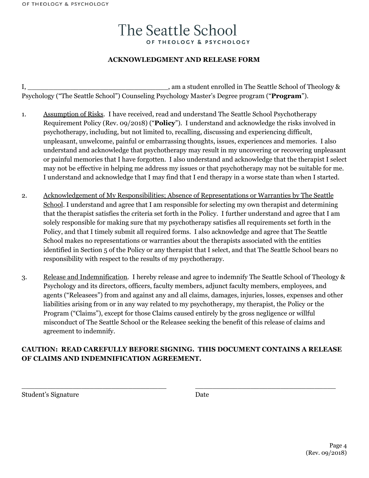### **ACKNOWLEDGMENT AND RELEASE FORM**

I, \_\_\_\_\_\_\_\_\_\_\_\_\_\_\_\_\_\_\_\_\_\_\_\_\_\_\_\_\_\_\_\_\_, am a student enrolled in The Seattle School of Theology & Psychology ("The Seattle School") Counseling Psychology Master's Degree program ("**Program**").

- 1. Assumption of Risks. I have received, read and understand The Seattle School Psychotherapy Requirement Policy (Rev. 09/2018) ("**Policy**"). I understand and acknowledge the risks involved in psychotherapy, including, but not limited to, recalling, discussing and experiencing difficult, unpleasant, unwelcome, painful or embarrassing thoughts, issues, experiences and memories. I also understand and acknowledge that psychotherapy may result in my uncovering or recovering unpleasant or painful memories that I have forgotten. I also understand and acknowledge that the therapist I select may not be effective in helping me address my issues or that psychotherapy may not be suitable for me. I understand and acknowledge that I may find that I end therapy in a worse state than when I started.
- 2. Acknowledgement of My Responsibilities; Absence of Representations or Warranties by The Seattle School. I understand and agree that I am responsible for selecting my own therapist and determining that the therapist satisfies the criteria set forth in the Policy. I further understand and agree that I am solely responsible for making sure that my psychotherapy satisfies all requirements set forth in the Policy, and that I timely submit all required forms. I also acknowledge and agree that The Seattle School makes no representations or warranties about the therapists associated with the entities identified in Section 5 of the Policy or any therapist that I select, and that The Seattle School bears no responsibility with respect to the results of my psychotherapy.
- 3. Release and Indemnification. I hereby release and agree to indemnify The Seattle School of Theology & Psychology and its directors, officers, faculty members, adjunct faculty members, employees, and agents ("Releasees") from and against any and all claims, damages, injuries, losses, expenses and other liabilities arising from or in any way related to my psychotherapy, my therapist, the Policy or the Program ("Claims"), except for those Claims caused entirely by the gross negligence or willful misconduct of The Seattle School or the Releasee seeking the benefit of this release of claims and agreement to indemnify.

### **CAUTION: READ CAREFULLY BEFORE SIGNING. THIS DOCUMENT CONTAINS A RELEASE OF CLAIMS AND INDEMNIFICATION AGREEMENT.**

 $\_$  , and the set of the set of the set of the set of the set of the set of the set of the set of the set of the set of the set of the set of the set of the set of the set of the set of the set of the set of the set of th

Student's Signature Date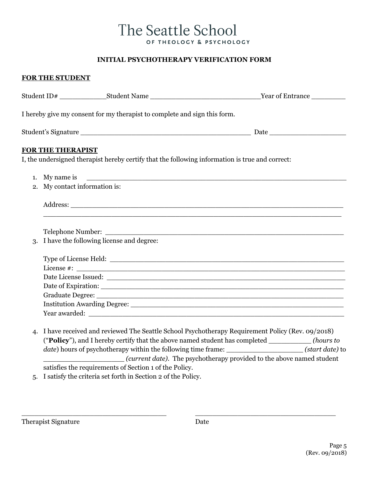### **INITIAL PSYCHOTHERAPY VERIFICATION FORM**

# **FOR THE STUDENT** Student ID# \_\_\_\_\_\_\_\_\_\_\_Student Name \_\_\_\_\_\_\_\_\_\_\_\_\_\_\_\_\_\_\_\_\_\_\_\_\_\_Year of Entrance \_\_\_\_\_\_\_\_ I hereby give my consent for my therapist to complete and sign this form. Student's Signature \_\_\_\_\_\_\_\_\_\_\_\_\_\_\_\_\_\_\_\_\_\_\_\_\_\_\_\_\_\_\_\_\_\_\_\_\_\_\_\_ Date \_\_\_\_\_\_\_\_\_\_\_\_\_\_\_\_\_\_ **FOR THE THERAPIST** I, the undersigned therapist hereby certify that the following information is true and correct: 1. My name is 2. My contact information is: Address: \_\_\_\_\_\_\_\_\_\_\_\_\_\_\_\_\_\_\_\_\_\_\_\_\_\_\_\_\_\_\_\_\_\_\_\_\_\_\_\_\_\_\_\_\_\_\_\_\_\_\_\_\_\_\_\_\_\_\_\_\_\_\_\_\_\_\_\_\_\_ Telephone Number: \_\_\_\_\_\_\_\_\_\_\_\_\_\_\_\_\_\_\_\_\_\_\_\_\_\_\_\_\_\_\_\_\_\_\_\_\_\_\_\_\_\_\_\_\_\_\_\_\_\_\_\_\_\_\_\_ 3. I have the following license and degree: Type of License Held: License #: \_\_\_\_\_\_\_\_\_\_\_\_\_\_\_\_\_\_\_\_\_\_\_\_\_\_\_\_\_\_\_\_\_\_\_\_\_\_\_\_\_\_\_\_\_\_\_\_\_\_\_\_\_\_\_\_\_\_\_\_\_\_\_ Date License Issued: \_\_\_\_\_\_\_\_\_\_\_\_\_\_\_\_\_\_\_\_\_\_\_\_\_\_\_\_\_\_\_\_\_\_\_\_\_\_\_\_\_\_\_\_\_\_\_\_\_\_\_\_\_\_\_\_ Date of Expiration: Graduate Degree: \_\_\_\_\_\_\_\_\_\_\_\_\_\_\_\_\_\_\_\_\_\_\_\_\_\_\_\_\_\_\_\_\_\_\_\_\_\_\_\_\_\_\_\_\_\_\_\_\_\_\_\_\_\_\_\_\_\_ Institution Awarding Degree: \_\_\_\_\_\_\_\_\_\_\_\_\_\_\_\_\_\_\_\_\_\_\_\_\_\_\_\_\_\_\_\_\_\_\_\_\_\_\_\_\_\_\_\_\_\_\_\_\_\_ Year awarded: 4. I have received and reviewed The Seattle School Psychotherapy Requirement Policy (Rev. 09/2018) ("**Policy**"), and I hereby certify that the above named student has completed \_\_\_\_\_\_\_\_\_\_ *(hours to date*) hours of psychotherapy within the following time frame: (*start date*) to \_\_\_\_\_\_\_\_\_\_\_\_\_\_\_\_\_\_\_ *(current date).* The psychotherapy provided to the above named student satisfies the requirements of Section 1 of the Policy.

5. I satisfy the criteria set forth in Section 2 of the Policy.

| <b>Therapist Signature</b> | Date |
|----------------------------|------|
|                            |      |

 $\_$  , and the set of the set of the set of the set of the set of the set of the set of the set of the set of the set of the set of the set of the set of the set of the set of the set of the set of the set of the set of th